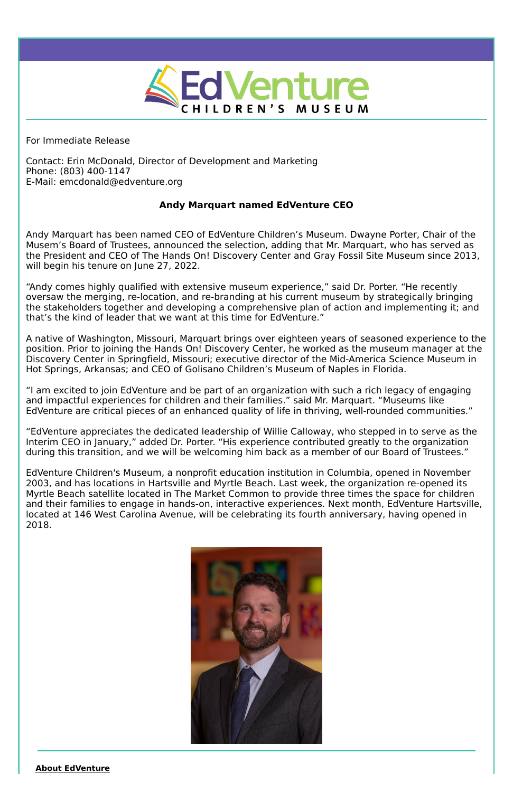

For Immediate Release

Contact: Erin McDonald, Director of Development and Marketing Phone: (803) 400-1147 E-Mail: emcdonald@edventure.org

## **Andy Marquart named EdVenture CEO**

Andy Marquart has been named CEO of EdVenture Children's Museum. Dwayne Porter, Chair of the Musem's Board of Trustees, announced the selection, adding that Mr. Marquart, who has served as the President and CEO of The Hands On! Discovery Center and Gray Fossil Site Museum since 2013, will begin his tenure on June 27, 2022.

"Andy comes highly qualified with extensive museum experience," said Dr. Porter. "He recently oversaw the merging, re-location, and re-branding at his current museum by strategically bringing the stakeholders together and developing a comprehensive plan of action and implementing it; and that's the kind of leader that we want at this time for EdVenture."

A native of Washington, Missouri, Marquart brings over eighteen years of seasoned experience to the position. Prior to joining the Hands On! Discovery Center, he worked as the museum manager at the Discovery Center in Springfield, Missouri; executive director of the Mid-America Science Museum in Hot Springs, Arkansas; and CEO of Golisano Children's Museum of Naples in Florida.

"I am excited to join EdVenture and be part of an organization with such a rich legacy of engaging and impactful experiences for children and their families." said Mr. Marquart. "Museums like EdVenture are critical pieces of an enhanced quality of life in thriving, well-rounded communities."

"EdVenture appreciates the dedicated leadership of Willie Calloway, who stepped in to serve as the Interim CEO in January," added Dr. Porter. "His experience contributed greatly to the organization during this transition, and we will be welcoming him back as a member of our Board of Trustees."

EdVenture Children's Museum, a nonprofit education institution in Columbia, opened in November 2003, and has locations in Hartsville and Myrtle Beach. Last week, the organization re-opened its Myrtle Beach satellite located in The Market Common to provide three times the space for children and their families to engage in hands-on, interactive experiences. Next month, EdVenture Hartsville, located at 146 West Carolina Avenue, will be celebrating its fourth anniversary, having opened in 2018.



## **About EdVenture**